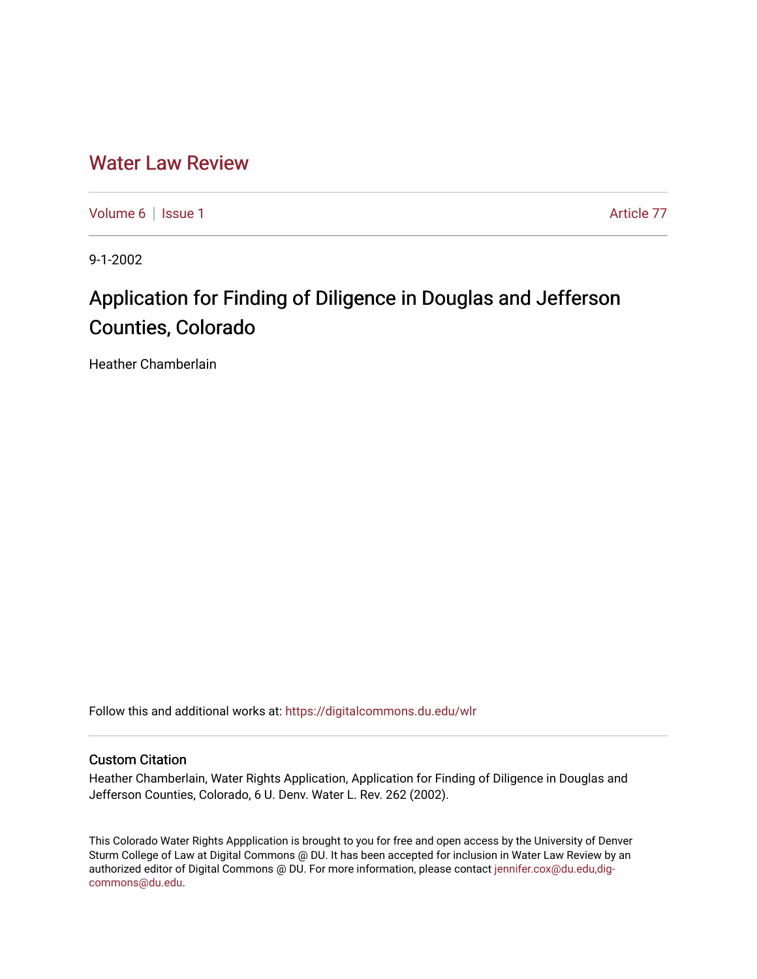## [Water Law Review](https://digitalcommons.du.edu/wlr)

[Volume 6](https://digitalcommons.du.edu/wlr/vol6) | [Issue 1](https://digitalcommons.du.edu/wlr/vol6/iss1) Article 77

9-1-2002

# Application for Finding of Diligence in Douglas and Jefferson Counties, Colorado

Heather Chamberlain

Follow this and additional works at: [https://digitalcommons.du.edu/wlr](https://digitalcommons.du.edu/wlr?utm_source=digitalcommons.du.edu%2Fwlr%2Fvol6%2Fiss1%2F77&utm_medium=PDF&utm_campaign=PDFCoverPages) 

#### Custom Citation

Heather Chamberlain, Water Rights Application, Application for Finding of Diligence in Douglas and Jefferson Counties, Colorado, 6 U. Denv. Water L. Rev. 262 (2002).

This Colorado Water Rights Appplication is brought to you for free and open access by the University of Denver Sturm College of Law at Digital Commons @ DU. It has been accepted for inclusion in Water Law Review by an authorized editor of Digital Commons @ DU. For more information, please contact [jennifer.cox@du.edu,dig](mailto:jennifer.cox@du.edu,dig-commons@du.edu)[commons@du.edu.](mailto:jennifer.cox@du.edu,dig-commons@du.edu)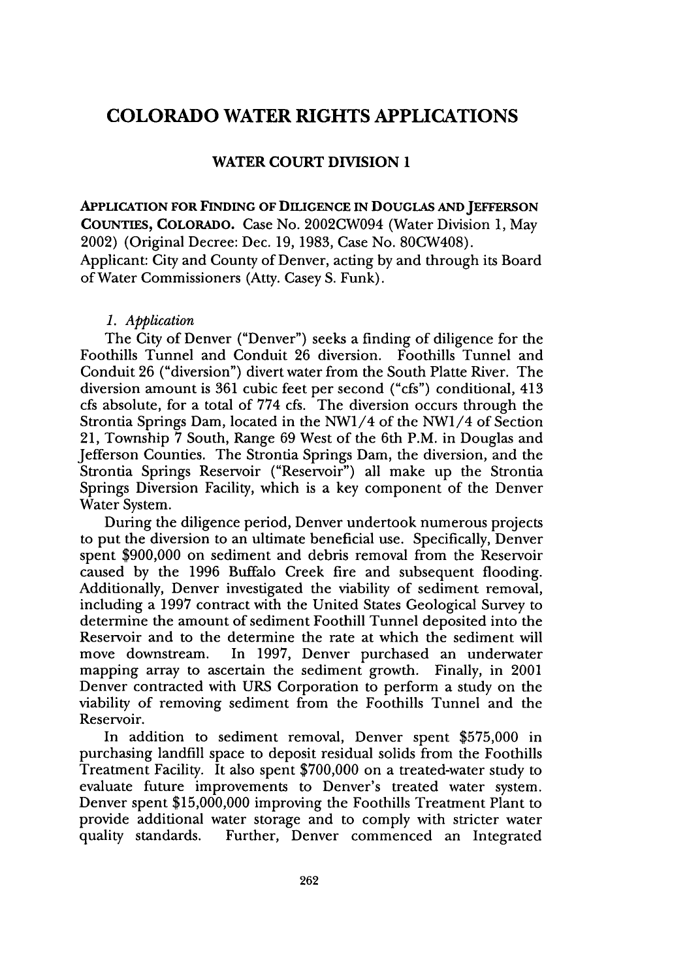### **COLORADO WATER RIGHTS APPLICATIONS**

#### WATER **COURT DIVISION 1**

**APPLICATION FOR FINDING OF DILIGENCE IN DOUGLAS AND JEFFERSON COUNTIES,** COLORADO. Case No. 2002CW094 (Water Division **1,** May 2002) (Original Decree: Dec. **19, 1983,** Case No. 80CW408). Applicant: City and County of Denver, acting by and through its Board of Water Commissioners (Atty. Casey S. Funk).

#### *1. Application*

The City of Denver ("Denver") seeks a finding of diligence for the Foothills Tunnel and Conduit 26 diversion. Foothills Tunnel and Conduit 26 ("diversion") divert water from the South Platte River. The diversion amount is 361 cubic feet per second ("cfs") conditional, 413 cfs absolute, for a total of 774 cfs. The diversion occurs through the Strontia Springs Dam, located in the NW1/4 of the NW1/4 of Section 21, Township 7 South, Range 69 West of the 6th P.M. in Douglas and Jefferson Counties. The Strontia Springs Dam, the diversion, and the Strontia Springs Reservoir ("Reservoir") all make up the Strontia Springs Diversion Facility, which is a key component of the Denver Water System.

During the diligence period, Denver undertook numerous projects to put the diversion to an ultimate beneficial use. Specifically, Denver spent \$900,000 on sediment and debris removal from the Reservoir caused by the 1996 Buffalo Creek fire and subsequent flooding. Additionally, Denver investigated the viability of sediment removal, including a 1997 contract with the United States Geological Survey to determine the amount of sediment Foothill Tunnel deposited into the Reservoir and to the determine the rate at which the sediment will move downstream. In 1997, Denver purchased an underwater mapping array to ascertain the sediment growth. Finally, in 2001 Denver contracted with URS Corporation to perform a study on the viability of removing sediment from the Foothills Tunnel and the Reservoir.

In addition to sediment removal, Denver spent \$575,000 in purchasing landfill space to deposit residual solids from the Foothills Treatment Facility. It also spent \$700,000 on a treated-water study to evaluate future improvements to Denver's treated water system. Denver spent \$15,000,000 improving the Foothills Treatment Plant to provide additional water storage and to comply with stricter water quality standards. Further, Denver commenced an Integrated